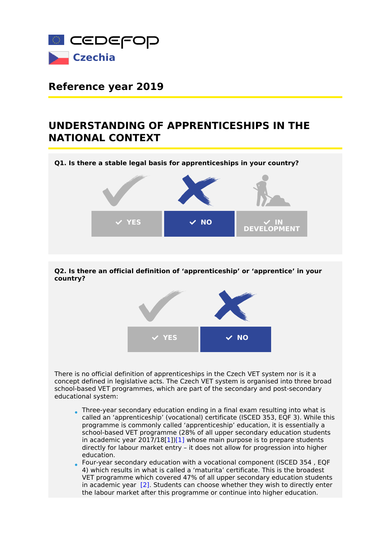

## **Reference year 2019**

## **UNDERSTANDING OF APPRENTICESHIPS IN THE NATIONAL CONTEXT**



**Q2. Is there an official definition of 'apprenticeship' or 'apprentice' in your country?**



There is no official definition of apprenticeships in the Czech VET system nor is it a concept defined in legislative acts. The Czech VET system is organised into three broad school-based VET programmes, which are part of the secondary and post-secondary educational system:

- Three-year secondary education ending in a final exam resulting into what is called an 'apprenticeship' (vocational) certificate (ISCED 353, EQF 3). While this programme is commonly called 'apprenticeship' education, it is essentially a school-based VET programme (28% of all upper secondary education students in academic year  $2017/18[1])[1]$  $2017/18[1])[1]$  $2017/18[1])[1]$  whose main purpose is to prepare students directly for labour market entry – it does not allow for progression into higher education.
- <span id="page-0-1"></span><span id="page-0-0"></span>Four-year secondary education with a vocational component (ISCED 354 , EQF 4) which results in what is called a 'maturita' certificate. This is the broadest VET programme which covered 47% of all upper secondary education students in academic year [\[2\]](#page-1-1). Students can choose whether they wish to directly enter the labour market after this programme or continue into higher education.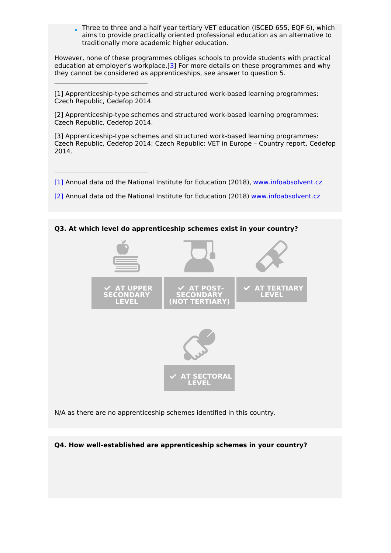Three to three and a half year tertiary VET education (ISCED 655, EQF 6), which aims to provide practically oriented professional education as an alternative to traditionally more academic higher education.

However, none of these programmes obliges schools to provide students with practical education at employer's workplace.[\[3](https://www.cedefop.europa.eu/en/publications-and-resources/data-visualisations/apprenticeship-schemes/country-fiches/czech-republic#ftn3)] For more details on these programmes and why they cannot be considered as apprenticeships, see answer to question 5.

[1] Apprenticeship-type schemes and structured work-based learning programmes: Czech Republic, Cedefop 2014.

[2] Apprenticeship-type schemes and structured work-based learning programmes: Czech Republic, Cedefop 2014.

[3] Apprenticeship-type schemes and structured work-based learning programmes: Czech Republic, Cedefop 2014; Czech Republic: VET in Europe – Country report, Cedefop 2014.

<span id="page-1-0"></span>[\[1\]](#page-0-0) Annual data od the National Institute for Education (2018), [www.infoabsolvent.cz](http://www.infoabsolvent.cz)

<span id="page-1-1"></span>[\[2\]](#page-0-1) Annual data od the National Institute for Education (2018) [www.infoabsolvent.cz](http://www.infoabsolvent.cz)



**Q4. How well-established are apprenticeship schemes in your country?**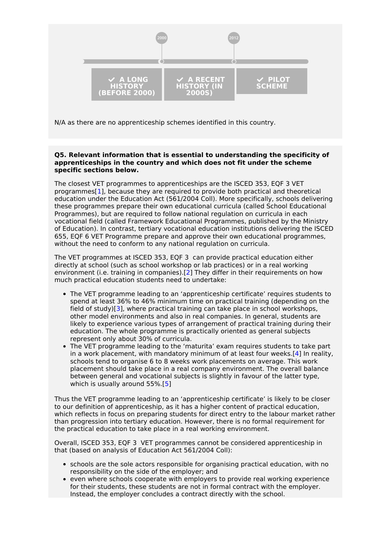

N/A as there are no apprenticeship schemes identified in this country.

## **Q5. Relevant information that is essential to understanding the specificity of apprenticeships in the country and which does not fit under the scheme specific sections below.**

The closest VET programmes to apprenticeships are the ISCED 353, EQF 3 VET programmes[[1](https://www.cedefop.europa.eu/en/publications-and-resources/data-visualisations/apprenticeship-schemes/country-fiches/czech-republic#ftn4)], because they are required to provide both practical and theoretical education under the Education Act (561/2004 Coll). More specifically, schools delivering these programmes prepare their own educational curricula (called School Educational Programmes), but are required to follow national regulation on curricula in each vocational field (called Framework Educational Programmes, published by the Ministry of Education). In contrast, tertiary vocational education institutions delivering the ISCED 655, EQF 6 VET Programme prepare and approve their own educational programmes, without the need to conform to any national regulation on curricula.

The VET programmes at ISCED 353, EQF 3 can provide practical education either directly at school (such as school workshop or lab practices) or in a real working environment (i.e. training in companies).[\[2](https://www.cedefop.europa.eu/en/publications-and-resources/data-visualisations/apprenticeship-schemes/country-fiches/czech-republic#ftn5)] They differ in their requirements on how much practical education students need to undertake:

- The VET programme leading to an 'apprenticeship certificate' requires students to spend at least 36% to 46% minimum time on practical training (depending on the field of study)[[3](https://www.cedefop.europa.eu/en/publications-and-resources/data-visualisations/apprenticeship-schemes/country-fiches/czech-republic#ftn6)], where practical training can take place in school workshops, other model environments and also in real companies. In general, students are likely to experience various types of arrangement of practical training during their education. The whole programme is practically oriented as general subjects represent only about 30% of curricula.
- The VET programme leading to the 'maturita' exam requires students to take part in a work placement, with mandatory minimum of at least four weeks.[\[4](https://www.cedefop.europa.eu/en/publications-and-resources/data-visualisations/apprenticeship-schemes/country-fiches/czech-republic#ftn7)] In reality, schools tend to organise 6 to 8 weeks work placements on average. This work placement should take place in a real company environment. The overall balance between general and vocational subjects is slightly in favour of the latter type, which is usually around 55%.[\[5](https://www.cedefop.europa.eu/en/publications-and-resources/data-visualisations/apprenticeship-schemes/country-fiches/czech-republic#ftn8)]

Thus the VET programme leading to an 'apprenticeship certificate' is likely to be closer to our definition of apprenticeship, as it has a higher content of practical education, which reflects in focus on preparing students for direct entry to the labour market rather than progression into tertiary education. However, there is no formal requirement for the practical education to take place in a real working environment.

Overall, ISCED 353, EQF 3 VET programmes cannot be considered apprenticeship in that (based on analysis of Education Act 561/2004 Coll):

- schools are the sole actors responsible for organising practical education, with no responsibility on the side of the employer; and
- even where schools cooperate with employers to provide real working experience for their students, these students are not in formal contract with the employer. Instead, the employer concludes a contract directly with the school.